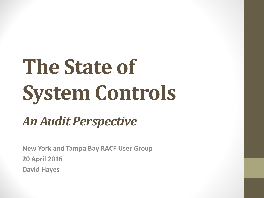# **The State of System Controls**

# *An Audit Perspective*

**New York and Tampa Bay RACF User Group 20 April 2016 David Hayes**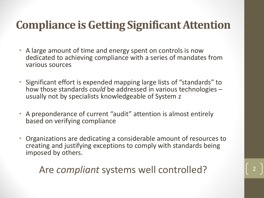### **Compliance is Getting Significant Attention**

- A large amount of time and energy spent on controls is now dedicated to achieving compliance with a series of mandates from various sources
- Significant effort is expended mapping large lists of "standards" to how those standards *could* be addressed in various technologies – usually not by specialists knowledgeable of System z
- A preponderance of current "audit" attention is almost entirely based on verifying compliance
- Organizations are dedicating a considerable amount of resources to creating and justifying exceptions to comply with standards being imposed by others.

Are *compliant* systems well controlled?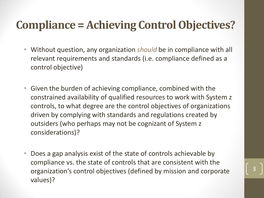#### **Compliance = Achieving Control Objectives?**

- Without question, any organization *should* be in compliance with all relevant requirements and standards (i.e. compliance defined as a control objective)
- Given the burden of achieving compliance, combined with the constrained availability of qualified resources to work with System z controls, to what degree are the control objectives of organizations driven by complying with standards and regulations created by outsiders (who perhaps may not be cognizant of System z considerations)?
- Does a gap analysis exist of the state of controls achievable by compliance vs. the state of controls that are consistent with the organization's control objectives (defined by mission and corporate values)?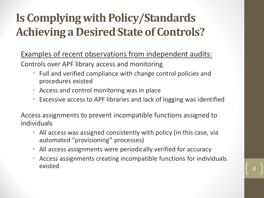# **Is Complying with Policy/Standards Achieving a Desired State of Controls?**

Examples of recent observations from independent audits:

Controls over APF library access and monitoring

- Full and verified compliance with change control policies and procedures existed
- Access and control monitoring was in place
- Excessive access to APF libraries and lack of logging was identified

Access assignments to prevent incompatible functions assigned to individuals

- All access was assigned consistently with policy (in this case, via automated "provisioning" processes)
- All access assignments were periodically verified for accuracy
- Access assignments creating incompatible functions for individuals  $\epsilon$  existed  $\begin{bmatrix} 4 \end{bmatrix}$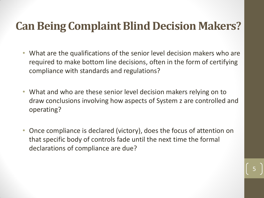#### **Can Being Complaint Blind Decision Makers?**

- What are the qualifications of the senior level decision makers who are required to make bottom line decisions, often in the form of certifying compliance with standards and regulations?
- What and who are these senior level decision makers relying on to draw conclusions involving how aspects of System z are controlled and operating?
- Once compliance is declared (victory), does the focus of attention on that specific body of controls fade until the next time the formal declarations of compliance are due?

5